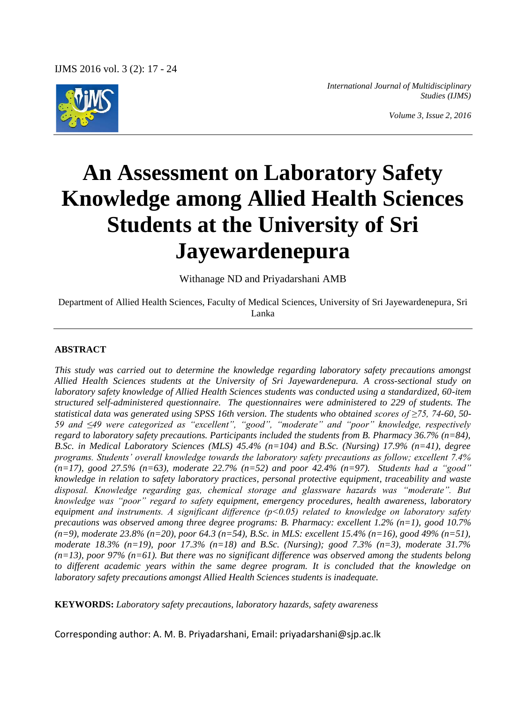IJMS 2016 vol. 3 (2): 17 - 24



*International Journal of Multidisciplinary Studies (IJMS)*

*Volume 3, Issue 2, 2016*

# **An Assessment on Laboratory Safety Knowledge among Allied Health Sciences Students at the University of Sri Jayewardenepura**

Withanage ND and Priyadarshani AMB

Department of Allied Health Sciences, Faculty of Medical Sciences, University of Sri Jayewardenepura, Sri Lanka

#### **ABSTRACT**

*This study was carried out to determine the knowledge regarding laboratory safety precautions amongst Allied Health Sciences students at the University of Sri Jayewardenepura. A cross-sectional study on laboratory safety knowledge of Allied Health Sciences students was conducted using a standardized, 60-item structured self-administered questionnaire. The questionnaires were administered to 229 of students. The statistical data was generated using SPSS 16th version. The students who obtained scores of ≥75, 74-60, 50- 59 and ≤49 were categorized as "excellent", "good", "moderate" and "poor" knowledge, respectively regard to laboratory safety precautions. Participants included the students from B. Pharmacy 36.7% (n=84), B.Sc. in Medical Laboratory Sciences (MLS) 45.4% (n=104) and B.Sc. (Nursing) 17.9% (n=41), degree programs. Students' overall knowledge towards the laboratory safety precautions as follow; excellent 7.4% (n=17), good 27.5% (n=63), moderate 22.7% (n=52) and poor 42.4% (n=97). Students had a "good" knowledge in relation to safety laboratory practices, personal protective equipment, traceability and waste disposal. Knowledge regarding gas, chemical storage and glassware hazards was "moderate". But knowledge was "poor" regard to safety equipment, emergency procedures, health awareness, laboratory equipment and instruments. A significant difference (p˂0.05) related to knowledge on laboratory safety precautions was observed among three degree programs: B. Pharmacy: excellent 1.2% (n=1), good 10.7% (n=9), moderate 23.8% (n=20), poor 64.3 (n=54), B.Sc. in MLS: excellent 15.4% (n=16), good 49% (n=51), moderate 18.3% (n=19), poor 17.3% (n=18) and B.Sc. (Nursing); good 7.3% (n=3), moderate 31.7% (n=13), poor 97% (n=61). But there was no significant difference was observed among the students belong to different academic years within the same degree program. It is concluded that the knowledge on laboratory safety precautions amongst Allied Health Sciences students is inadequate.*

**KEYWORDS:** *Laboratory safety precautions, laboratory hazards, safety awareness*

Corresponding author: A. M. B. Priyadarshani, Email: priyadarshani@sjp.ac.lk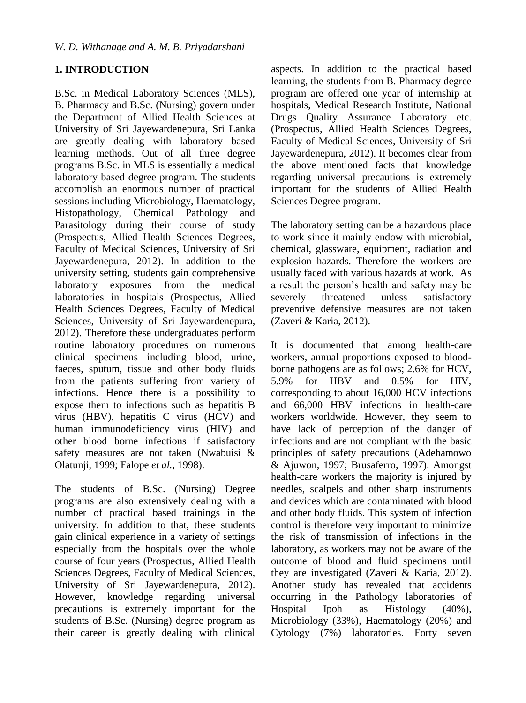#### **1. INTRODUCTION**

B.Sc. in Medical Laboratory Sciences (MLS), B. Pharmacy and B.Sc. (Nursing) govern under the Department of Allied Health Sciences at University of Sri Jayewardenepura, Sri Lanka are greatly dealing with laboratory based learning methods. Out of all three degree programs B.Sc. in MLS is essentially a medical laboratory based degree program. The students accomplish an enormous number of practical sessions including Microbiology, Haematology, Histopathology, Chemical Pathology and Parasitology during their course of study (Prospectus, Allied Health Sciences Degrees, Faculty of Medical Sciences, University of Sri Jayewardenepura, 2012). In addition to the university setting, students gain comprehensive laboratory exposures from the medical laboratories in hospitals (Prospectus, Allied Health Sciences Degrees, Faculty of Medical Sciences, University of Sri Jayewardenepura, 2012). Therefore these undergraduates perform routine laboratory procedures on numerous clinical specimens including blood, urine, faeces, sputum, tissue and other body fluids from the patients suffering from variety of infections. Hence there is a possibility to expose them to infections such as hepatitis B virus (HBV), hepatitis C virus (HCV) and human immunodeficiency virus (HIV) and other blood borne infections if satisfactory safety measures are not taken (Nwabuisi & Olatunji, 1999; Falope *et al.,* 1998).

The students of B.Sc. (Nursing) Degree programs are also extensively dealing with a number of practical based trainings in the university. In addition to that, these students gain clinical experience in a variety of settings especially from the hospitals over the whole course of four years (Prospectus, Allied Health Sciences Degrees, Faculty of Medical Sciences, University of Sri Jayewardenepura, 2012). However, knowledge regarding universal precautions is extremely important for the students of B.Sc. (Nursing) degree program as their career is greatly dealing with clinical

aspects. In addition to the practical based learning, the students from B. Pharmacy degree program are offered one year of internship at hospitals, Medical Research Institute, National Drugs Quality Assurance Laboratory etc. (Prospectus, Allied Health Sciences Degrees, Faculty of Medical Sciences, University of Sri Jayewardenepura, 2012). It becomes clear from the above mentioned facts that knowledge regarding universal precautions is extremely important for the students of Allied Health Sciences Degree program.

The laboratory setting can be a hazardous place to work since it mainly endow with microbial, chemical, glassware, equipment, radiation and explosion hazards. Therefore the workers are usually faced with various hazards at work. As a result the person's health and safety may be severely threatened unless satisfactory preventive defensive measures are not taken (Zaveri & Karia, 2012).

It is documented that among health-care workers, annual proportions exposed to bloodborne pathogens are as follows; 2.6% for HCV, 5.9% for HBV and 0.5% for HIV, corresponding to about 16,000 HCV infections and 66,000 HBV infections in health-care workers worldwide. However, they seem to have lack of perception of the danger of infections and are not compliant with the basic principles of safety precautions (Adebamowo & Ajuwon, 1997; Brusaferro, 1997). Amongst health-care workers the majority is injured by needles, scalpels and other sharp instruments and devices which are contaminated with blood and other body fluids. This system of infection control is therefore very important to minimize the risk of transmission of infections in the laboratory, as workers may not be aware of the outcome of blood and fluid specimens until they are investigated (Zaveri & Karia, 2012). Another study has revealed that accidents occurring in the Pathology laboratories of Hospital Ipoh as Histology (40%), Microbiology (33%), Haematology (20%) and Cytology (7%) laboratories. Forty seven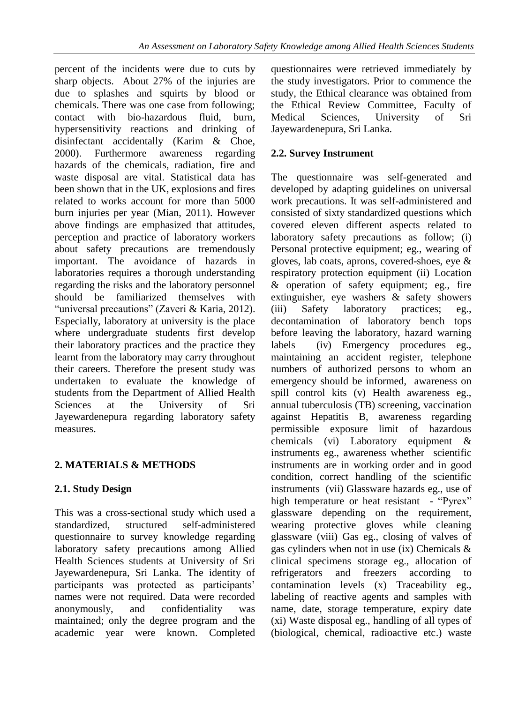percent of the incidents were due to cuts by sharp objects. About 27% of the injuries are due to splashes and squirts by blood or chemicals. There was one case from following; contact with bio-hazardous fluid, burn, hypersensitivity reactions and drinking of disinfectant accidentally (Karim & Choe, 2000). Furthermore awareness regarding hazards of the chemicals, radiation, fire and waste disposal are vital. Statistical data has been shown that in the UK, explosions and fires related to works account for more than 5000 burn injuries per year (Mian, 2011). However above findings are emphasized that attitudes, perception and practice of laboratory workers about safety precautions are tremendously important. The avoidance of hazards in laboratories requires a thorough understanding regarding the risks and the laboratory personnel should be familiarized themselves with "universal precautions" (Zaveri & Karia, 2012). Especially, laboratory at university is the place where undergraduate students first develop their laboratory practices and the practice they learnt from the laboratory may carry throughout their careers. Therefore the present study was undertaken to evaluate the knowledge of students from the Department of Allied Health Sciences at the University of Sri Jayewardenepura regarding laboratory safety measures.

## **2. MATERIALS & METHODS**

## **2.1. Study Design**

This was a cross-sectional study which used a standardized, structured self-administered questionnaire to survey knowledge regarding laboratory safety precautions among Allied Health Sciences students at University of Sri Jayewardenepura, Sri Lanka. The identity of participants was protected as participants' names were not required. Data were recorded anonymously, and confidentiality was maintained; only the degree program and the academic year were known. Completed questionnaires were retrieved immediately by the study investigators. Prior to commence the study, the Ethical clearance was obtained from the Ethical Review Committee, Faculty of Medical Sciences, University of Sri Jayewardenepura, Sri Lanka.

### **2.2. Survey Instrument**

The questionnaire was self-generated and developed by adapting guidelines on universal work precautions. It was self-administered and consisted of sixty standardized questions which covered eleven different aspects related to laboratory safety precautions as follow; (i) Personal protective equipment; eg., wearing of gloves, lab coats, aprons, covered-shoes, eye & respiratory protection equipment (ii) Location & operation of safety equipment; eg., fire extinguisher, eye washers & safety showers (iii) Safety laboratory practices; eg., decontamination of laboratory bench tops before leaving the laboratory, hazard warning labels (iv) Emergency procedures eg., maintaining an accident register, telephone numbers of authorized persons to whom an emergency should be informed, awareness on spill control kits (v) Health awareness eg., annual tuberculosis (TB) screening, vaccination against Hepatitis B, awareness regarding permissible exposure limit of hazardous chemicals (vi) Laboratory equipment & instruments eg., awareness whether scientific instruments are in working order and in good condition, correct handling of the scientific instruments (vii) Glassware hazards eg., use of high temperature or heat resistant - "Pyrex" glassware depending on the requirement, wearing protective gloves while cleaning glassware (viii) Gas eg., closing of valves of gas cylinders when not in use (ix) Chemicals & clinical specimens storage eg., allocation of refrigerators and freezers according to contamination levels (x) Traceability eg., labeling of reactive agents and samples with name, date, storage temperature, expiry date (xi) Waste disposal eg., handling of all types of (biological, chemical, radioactive etc.) waste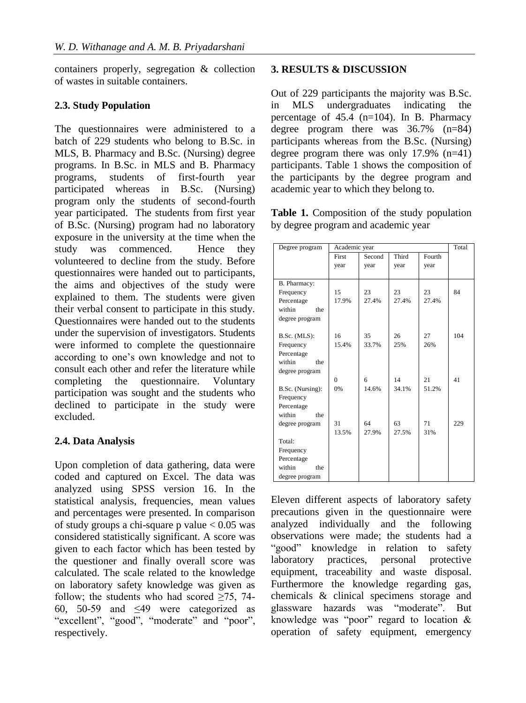containers properly, segregation & collection of wastes in suitable containers.

#### **2.3. Study Population**

The questionnaires were administered to a batch of 229 students who belong to B.Sc. in MLS, B. Pharmacy and B.Sc. (Nursing) degree programs. In B.Sc. in MLS and B. Pharmacy programs, students of first-fourth year participated whereas in B.Sc. (Nursing) program only the students of second-fourth year participated. The students from first year of B.Sc. (Nursing) program had no laboratory exposure in the university at the time when the study was commenced. Hence they volunteered to decline from the study. Before questionnaires were handed out to participants, the aims and objectives of the study were explained to them. The students were given their verbal consent to participate in this study. Questionnaires were handed out to the students under the supervision of investigators. Students were informed to complete the questionnaire according to one's own knowledge and not to consult each other and refer the literature while completing the questionnaire. Voluntary participation was sought and the students who declined to participate in the study were excluded.

## **2.4. Data Analysis**

Upon completion of data gathering, data were coded and captured on Excel. The data was analyzed using SPSS version 16. In the statistical analysis, frequencies, mean values and percentages were presented. In comparison of study groups a chi-square p value  $< 0.05$  was considered statistically significant. A score was given to each factor which has been tested by the questioner and finally overall score was calculated. The scale related to the knowledge on laboratory safety knowledge was given as follow; the students who had scored  $\geq 75$ , 74-60, 50-59 and ≤49 were categorized as "excellent", "good", "moderate" and "poor", respectively.

#### **3. RESULTS & DISCUSSION**

Out of 229 participants the majority was B.Sc. in MLS undergraduates indicating the percentage of  $45.4$  (n=104). In B. Pharmacy degree program there was 36.7% (n=84) participants whereas from the B.Sc. (Nursing) degree program there was only 17.9% (n=41) participants. Table 1 shows the composition of the participants by the degree program and academic year to which they belong to.

**Table 1.** Composition of the study population by degree program and academic year

| Degree program   | Academic year |        |       |        | Total |
|------------------|---------------|--------|-------|--------|-------|
|                  | First         | Second | Third | Fourth |       |
|                  | year          | year   | year  | year   |       |
|                  |               |        |       |        |       |
| B. Pharmacy:     |               |        |       |        |       |
| Frequency        | 15            | 23     | 23    | 23     | 84    |
| Percentage       | 17.9%         | 27.4%  | 27.4% | 27.4%  |       |
| within<br>the    |               |        |       |        |       |
| degree program   |               |        |       |        |       |
|                  |               |        |       |        |       |
| B.Sc. (MLS):     | 16            | 35     | 26    | 27     | 104   |
| Frequency        | 15.4%         | 33.7%  | 25%   | 26%    |       |
| Percentage       |               |        |       |        |       |
| within<br>the    |               |        |       |        |       |
| degree program   |               |        |       |        |       |
|                  | $\theta$      | 6      | 14    | 21     | 41    |
| B.Sc. (Nursing): | 0%            | 14.6%  | 34.1% | 51.2%  |       |
| Frequency        |               |        |       |        |       |
| Percentage       |               |        |       |        |       |
| within<br>the    |               |        |       |        |       |
| degree program   | 31            | 64     | 63    | 71     | 229   |
|                  | 13.5%         | 27.9%  | 27.5% | 31%    |       |
| Total:           |               |        |       |        |       |
| Frequency        |               |        |       |        |       |
| Percentage       |               |        |       |        |       |
| within<br>the    |               |        |       |        |       |
| degree program   |               |        |       |        |       |

Eleven different aspects of laboratory safety precautions given in the questionnaire were analyzed individually and the following observations were made; the students had a "good" knowledge in relation to safety laboratory practices, personal protective equipment, traceability and waste disposal. Furthermore the knowledge regarding gas, chemicals & clinical specimens storage and glassware hazards was "moderate". But knowledge was "poor" regard to location  $\&$ operation of safety equipment, emergency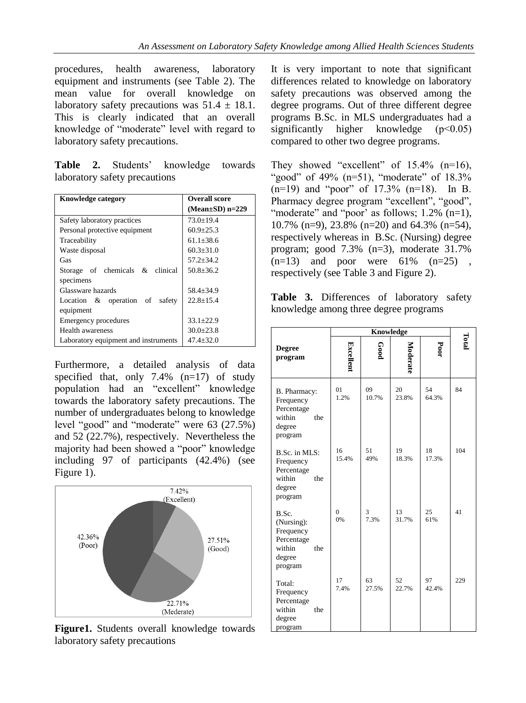procedures, health awareness, laboratory equipment and instruments (see Table 2). The mean value for overall knowledge on laboratory safety precautions was  $51.4 \pm 18.1$ . This is clearly indicated that an overall knowledge of "moderate" level with regard to laboratory safety precautions.

**Table 2.** Students' knowledge towards laboratory safety precautions

| <b>Knowledge category</b>            | <b>Overall score</b>  |  |  |
|--------------------------------------|-----------------------|--|--|
|                                      | (Mean $\pm$ SD) n=229 |  |  |
| Safety laboratory practices          | $73.0 + 19.4$         |  |  |
| Personal protective equipment        | $60.9 + 25.3$         |  |  |
| Traceability                         | $61.1 + 38.6$         |  |  |
| Waste disposal                       | $60.3 + 31.0$         |  |  |
| Gas                                  | $57.2 + 34.2$         |  |  |
| Storage of chemicals & clinical      | $50.8 + 36.2$         |  |  |
| specimens                            |                       |  |  |
| Glassware hazards                    | $58.4 + 34.9$         |  |  |
| Location $\&$ operation of<br>safety | $22.8 + 15.4$         |  |  |
| equipment                            |                       |  |  |
| Emergency procedures                 | $33.1 + 22.9$         |  |  |
| Health awareness                     | $30.0 + 23.8$         |  |  |
| Laboratory equipment and instruments | $47.4 + 32.0$         |  |  |

Furthermore, a detailed analysis of data specified that, only  $7.4\%$  (n=17) of study population had an "excellent" knowledge towards the laboratory safety precautions. The number of undergraduates belong to knowledge level "good" and "moderate" were 63 (27.5%) and 52 (22.7%), respectively. Nevertheless the majority had been showed a "poor" knowledge including 97 of participants (42.4%) (see Figure 1).



**Figure1.** Students overall knowledge towards laboratory safety precautions

It is very important to note that significant differences related to knowledge on laboratory safety precautions was observed among the degree programs. Out of three different degree programs B.Sc. in MLS undergraduates had a significantly higher knowledge (p<0.05) compared to other two degree programs.

They showed "excellent" of  $15.4\%$  (n=16), "good" of 49% (n=51), "moderate" of 18.3% (n=19) and "poor" of 17.3% (n=18). In B. Pharmacy degree program "excellent", "good", "moderate" and "poor' as follows; 1.2% (n=1), 10.7% (n=9), 23.8% (n=20) and 64.3% (n=54), respectively whereas in B.Sc. (Nursing) degree program; good 7.3% (n=3), moderate 31.7%  $(n=13)$  and poor were  $61\%$   $(n=25)$ , respectively (see Table 3 and Figure 2).

**Table 3.** Differences of laboratory safety knowledge among three degree programs

|                                                                                      | <b>Knowledge</b> |             |             |             |       |
|--------------------------------------------------------------------------------------|------------------|-------------|-------------|-------------|-------|
| <b>Degree</b><br>program                                                             | Excellent        | Good        | Moderate    | Poor        | Total |
| B. Pharmacy:<br>Frequency<br>Percentage<br>within<br>the<br>degree<br>program        | 01<br>1.2%       | 09<br>10.7% | 20<br>23.8% | 54<br>64.3% | 84    |
| B.Sc. in MLS:<br>Frequency<br>Percentage<br>within<br>the<br>degree<br>program       | 16<br>15.4%      | 51<br>49%   | 19<br>18.3% | 18<br>17.3% | 104   |
| B.Sc.<br>(Nursing):<br>Frequency<br>Percentage<br>within<br>the<br>degree<br>program | $\theta$<br>0%   | 3<br>7.3%   | 13<br>31.7% | 25<br>61%   | 41    |
| Total:<br>Frequency<br>Percentage<br>within<br>the<br>degree<br>program              | 17<br>7.4%       | 63<br>27.5% | 52<br>22.7% | 97<br>42.4% | 229   |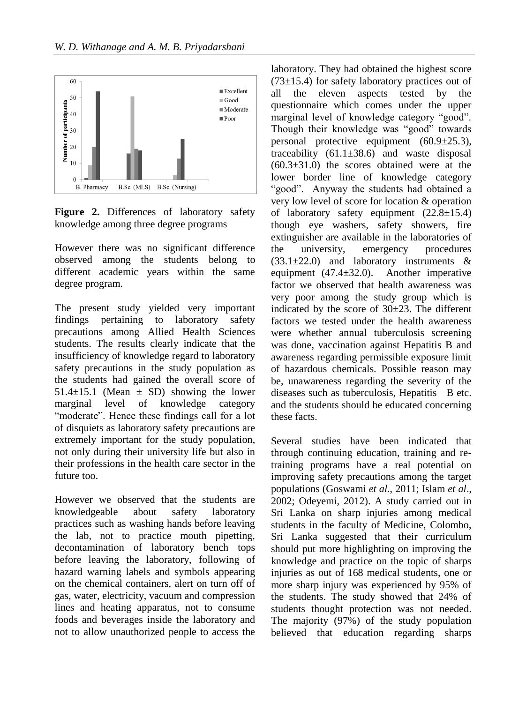

**Figure 2.** Differences of laboratory safety knowledge among three degree programs

However there was no significant difference observed among the students belong to different academic years within the same degree program.

The present study yielded very important findings pertaining to laboratory safety precautions among Allied Health Sciences students. The results clearly indicate that the insufficiency of knowledge regard to laboratory safety precautions in the study population as the students had gained the overall score of 51.4 $\pm$ 15.1 (Mean  $\pm$  SD) showing the lower marginal level of knowledge category "moderate". Hence these findings call for a lot of disquiets as laboratory safety precautions are extremely important for the study population, not only during their university life but also in their professions in the health care sector in the future too.

However we observed that the students are knowledgeable about safety laboratory practices such as washing hands before leaving the lab, not to practice mouth pipetting, decontamination of laboratory bench tops before leaving the laboratory, following of hazard warning labels and symbols appearing on the chemical containers, alert on turn off of gas, water, electricity, vacuum and compression lines and heating apparatus, not to consume foods and beverages inside the laboratory and not to allow unauthorized people to access the

laboratory. They had obtained the highest score  $(73\pm15.4)$  for safety laboratory practices out of all the eleven aspects tested by the questionnaire which comes under the upper marginal level of knowledge category "good". Though their knowledge was "good" towards personal protective equipment (60.9±25.3), traceability  $(61.1\pm38.6)$  and waste disposal  $(60.3\pm31.0)$  the scores obtained were at the lower border line of knowledge category "good". Anyway the students had obtained a very low level of score for location & operation of laboratory safety equipment  $(22.8 \pm 15.4)$ though eye washers, safety showers, fire extinguisher are available in the laboratories of the university, emergency procedures  $(33.1\pm22.0)$  and laboratory instruments & equipment  $(47.4 \pm 32.0)$ . Another imperative factor we observed that health awareness was very poor among the study group which is indicated by the score of  $30\pm 23$ . The different factors we tested under the health awareness were whether annual tuberculosis screening was done, vaccination against Hepatitis B and awareness regarding permissible exposure limit of hazardous chemicals. Possible reason may be, unawareness regarding the severity of the diseases such as tuberculosis, Hepatitis B etc. and the students should be educated concerning these facts.

Several studies have been indicated that through continuing education, training and retraining programs have a real potential on improving safety precautions among the target populations (Goswami *et al*., 2011; Islam *et al*., 2002; Odeyemi, 2012). A study carried out in Sri Lanka on sharp injuries among medical students in the faculty of Medicine, Colombo, Sri Lanka suggested that their curriculum should put more highlighting on improving the knowledge and practice on the topic of sharps injuries as out of 168 medical students, one or more sharp injury was experienced by 95% of the students. The study showed that 24% of students thought protection was not needed. The majority (97%) of the study population believed that education regarding sharps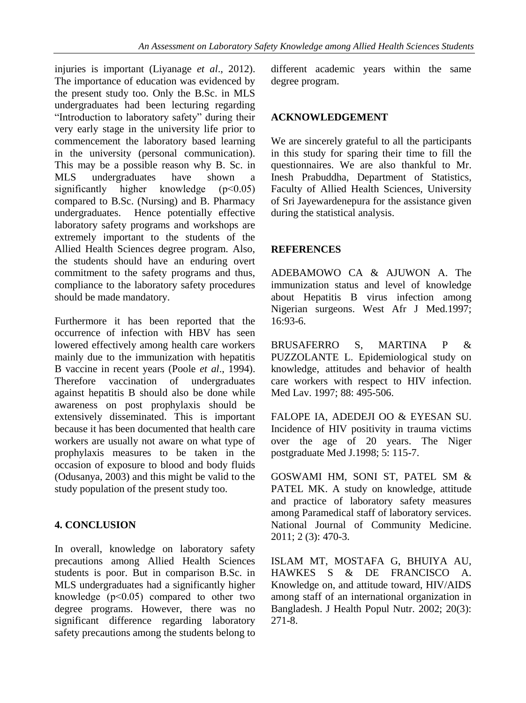injuries is important (Liyanage *et al*., 2012). The importance of education was evidenced by the present study too. Only the B.Sc. in MLS undergraduates had been lecturing regarding "Introduction to laboratory safety" during their very early stage in the university life prior to commencement the laboratory based learning in the university (personal communication). This may be a possible reason why B. Sc. in MLS undergraduates have shown a significantly higher knowledge (p<0.05) compared to B.Sc. (Nursing) and B. Pharmacy undergraduates. Hence potentially effective laboratory safety programs and workshops are extremely important to the students of the Allied Health Sciences degree program. Also, the students should have an enduring overt commitment to the safety programs and thus, compliance to the laboratory safety procedures should be made mandatory.

Furthermore it has been reported that the occurrence of infection with HBV has seen lowered effectively among health care workers mainly due to the immunization with hepatitis B vaccine in recent years (Poole *et al*., 1994). Therefore vaccination of undergraduates against hepatitis B should also be done while awareness on post prophylaxis should be extensively disseminated. This is important because it has been documented that health care workers are usually not aware on what type of prophylaxis measures to be taken in the occasion of exposure to blood and body fluids (Odusanya, 2003) and this might be valid to the study population of the present study too.

### **4. CONCLUSION**

In overall, knowledge on laboratory safety precautions among Allied Health Sciences students is poor. But in comparison B.Sc. in MLS undergraduates had a significantly higher knowledge (p˂0.05) compared to other two degree programs. However, there was no significant difference regarding laboratory safety precautions among the students belong to different academic years within the same degree program.

#### **ACKNOWLEDGEMENT**

We are sincerely grateful to all the participants in this study for sparing their time to fill the questionnaires. We are also thankful to Mr. Inesh Prabuddha, Department of Statistics, Faculty of Allied Health Sciences, University of Sri Jayewardenepura for the assistance given during the statistical analysis.

#### **REFERENCES**

ADEBAMOWO CA & AJUWON A. The immunization status and level of knowledge about Hepatitis B virus infection among Nigerian surgeons. West Afr J Med.1997; 16:93-6.

BRUSAFERRO S, MARTINA P & PUZZOLANTE L. Epidemiological study on knowledge, attitudes and behavior of health care workers with respect to HIV infection. Med Lav. 1997; 88: 495-506.

FALOPE IA, ADEDEJI OO & EYESAN SU. Incidence of HIV positivity in trauma victims over the age of 20 years. The Niger postgraduate Med J.1998; 5: 115-7.

GOSWAMI HM, SONI ST, PATEL SM & PATEL MK. A study on knowledge, attitude and practice of laboratory safety measures among Paramedical staff of laboratory services. National Journal of Community Medicine. 2011; 2 (3): 470-3.

ISLAM MT, MOSTAFA G, BHUIYA AU, HAWKES S & DE FRANCISCO A. Knowledge on, and attitude toward, HIV/AIDS among staff of an international organization in Bangladesh. J Health Popul Nutr. 2002; 20(3): 271-8.